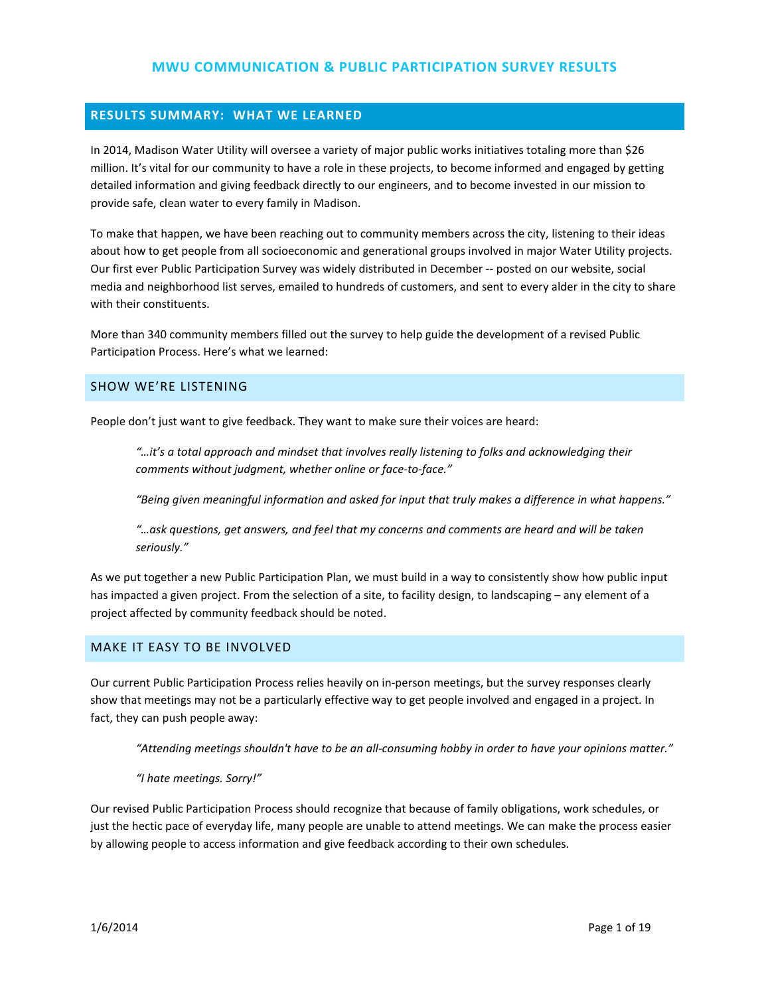## **RESULTS SUMMARY: WHAT WE LEARNED**

In 2014, Madison Water Utility will oversee a variety of major public works initiatives totaling more than \$26 million. It's vital for our community to have a role in these projects, to become informed and engaged by getting detailed information and giving feedback directly to our engineers, and to become invested in our mission to provide safe, clean water to every family in Madison.

To make that happen, we have been reaching out to community members across the city, listening to their ideas about how to get people from all socioeconomic and generational groups involved in major Water Utility projects. Our first ever Public Participation Survey was widely distributed in December -- posted on our website, social media and neighborhood list serves, emailed to hundreds of customers, and sent to every alder in the city to share with their constituents.

More than 340 community members filled out the survey to help guide the development of a revised Public Participation Process. Here's what we learned:

#### SHOW WE'RE LISTENING

People don't just want to give feedback. They want to make sure their voices are heard:

*"…it's a total approach and mindset that involves really listening to folks and acknowledging their comments without judgment, whether online or face-to-face."*

*"Being given meaningful information and asked for input that truly makes a difference in what happens."*

*"…ask questions, get answers, and feel that my concerns and comments are heard and will be taken seriously."*

As we put together a new Public Participation Plan, we must build in a way to consistently show how public input has impacted a given project. From the selection of a site, to facility design, to landscaping – any element of a project affected by community feedback should be noted.

#### MAKE IT EASY TO BE INVOLVED

Our current Public Participation Process relies heavily on in-person meetings, but the survey responses clearly show that meetings may not be a particularly effective way to get people involved and engaged in a project. In fact, they can push people away:

*"Attending meetings shouldn't have to be an all-consuming hobby in order to have your opinions matter."*

*"I hate meetings. Sorry!"*

Our revised Public Participation Process should recognize that because of family obligations, work schedules, or just the hectic pace of everyday life, many people are unable to attend meetings. We can make the process easier by allowing people to access information and give feedback according to their own schedules.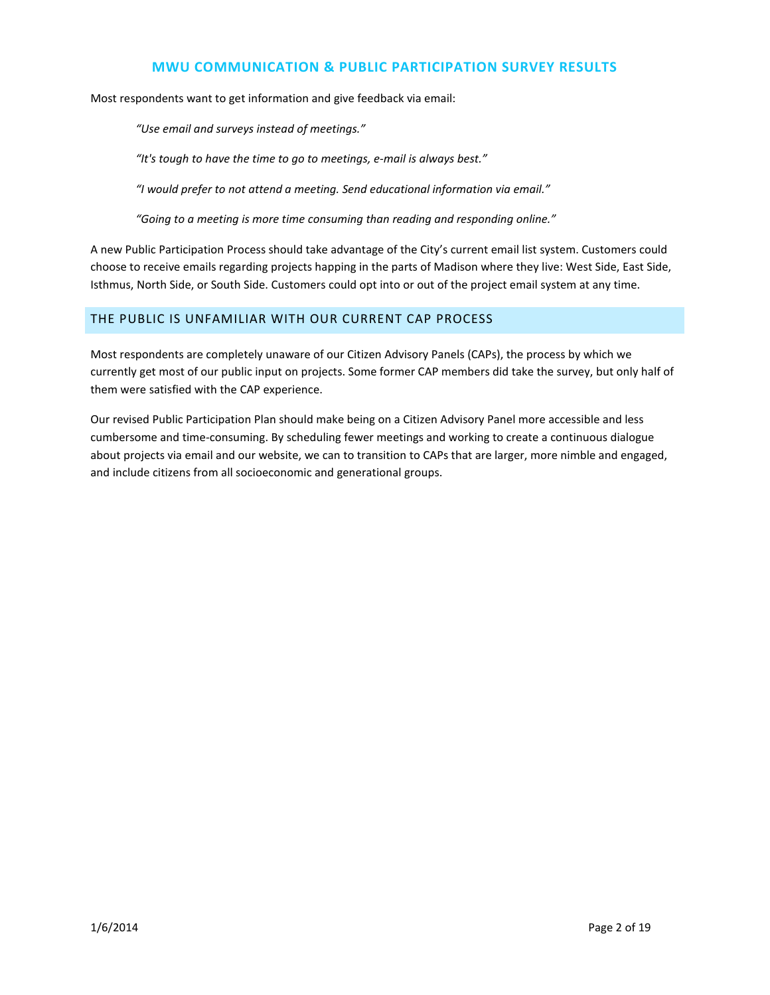Most respondents want to get information and give feedback via email:

*"Use email and surveys instead of meetings."*

*"It's tough to have the time to go to meetings, e-mail is always best."*

*"I would prefer to not attend a meeting. Send educational information via email."*

*"Going to a meeting is more time consuming than reading and responding online."*

A new Public Participation Process should take advantage of the City's current email list system. Customers could choose to receive emails regarding projects happing in the parts of Madison where they live: West Side, East Side, Isthmus, North Side, or South Side. Customers could opt into or out of the project email system at any time.

#### THE PUBLIC IS UNFAMILIAR WITH OUR CURRENT CAP PROCESS

Most respondents are completely unaware of our Citizen Advisory Panels (CAPs), the process by which we currently get most of our public input on projects. Some former CAP members did take the survey, but only half of them were satisfied with the CAP experience.

Our revised Public Participation Plan should make being on a Citizen Advisory Panel more accessible and less cumbersome and time-consuming. By scheduling fewer meetings and working to create a continuous dialogue about projects via email and our website, we can to transition to CAPs that are larger, more nimble and engaged, and include citizens from all socioeconomic and generational groups.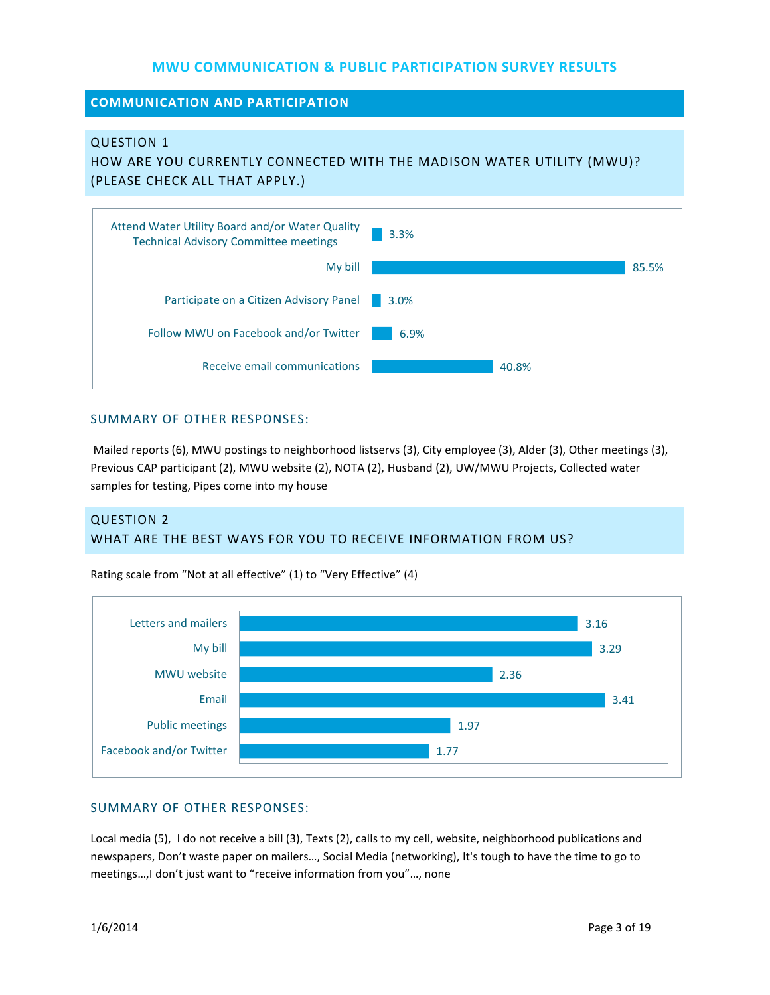### **COMMUNICATION AND PARTICIPATION**

#### QUESTION 1

HOW ARE YOU CURRENTLY CONNECTED WITH THE MADISON WATER UTILITY (MWU)? (PLEASE CHECK ALL THAT APPLY.)



#### SUMMARY OF OTHER RESPONSES:

Mailed reports (6), MWU postings to neighborhood listservs (3), City employee (3), Alder (3), Other meetings (3), Previous CAP participant (2), MWU website (2), NOTA (2), Husband (2), UW/MWU Projects, Collected water samples for testing, Pipes come into my house

# QUESTION 2 WHAT ARE THE BEST WAYS FOR YOU TO RECEIVE INFORMATION FROM US?



Rating scale from "Not at all effective" (1) to "Very Effective" (4)

### SUMMARY OF OTHER RESPONSES:

Local media (5), I do not receive a bill (3), Texts (2), calls to my cell, website, neighborhood publications and newspapers, Don't waste paper on mailers…, Social Media (networking), It's tough to have the time to go to meetings…,I don't just want to "receive information from you"…, none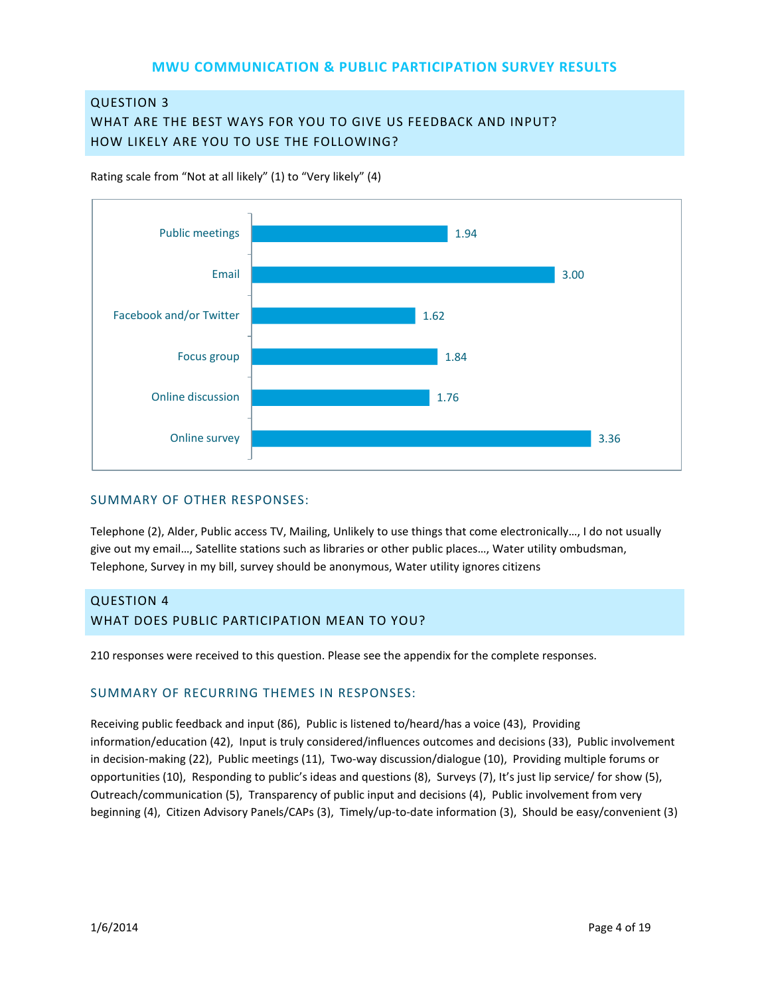## QUESTION 3

WHAT ARE THE BEST WAYS FOR YOU TO GIVE US FEEDBACK AND INPUT? HOW LIKELY ARE YOU TO USE THE FOLLOWING?

Rating scale from "Not at all likely" (1) to "Very likely" (4)



#### SUMMARY OF OTHER RESPONSES:

Telephone (2), Alder, Public access TV, Mailing, Unlikely to use things that come electronically…, I do not usually give out my email…, Satellite stations such as libraries or other public places…, Water utility ombudsman, Telephone, Survey in my bill, survey should be anonymous, Water utility ignores citizens

## QUESTION 4 WHAT DOES PUBLIC PARTICIPATION MEAN TO YOU?

210 responses were received to this question. Please see the appendix for the complete responses.

#### SUMMARY OF RECURRING THEMES IN RESPONSES:

Receiving public feedback and input (86), Public is listened to/heard/has a voice (43), Providing information/education (42), Input is truly considered/influences outcomes and decisions (33), Public involvement in decision-making (22), Public meetings (11), Two-way discussion/dialogue (10), Providing multiple forums or opportunities (10), Responding to public's ideas and questions (8), Surveys (7), It's just lip service/ for show (5), Outreach/communication (5), Transparency of public input and decisions (4), Public involvement from very beginning (4), Citizen Advisory Panels/CAPs (3), Timely/up-to-date information (3), Should be easy/convenient (3)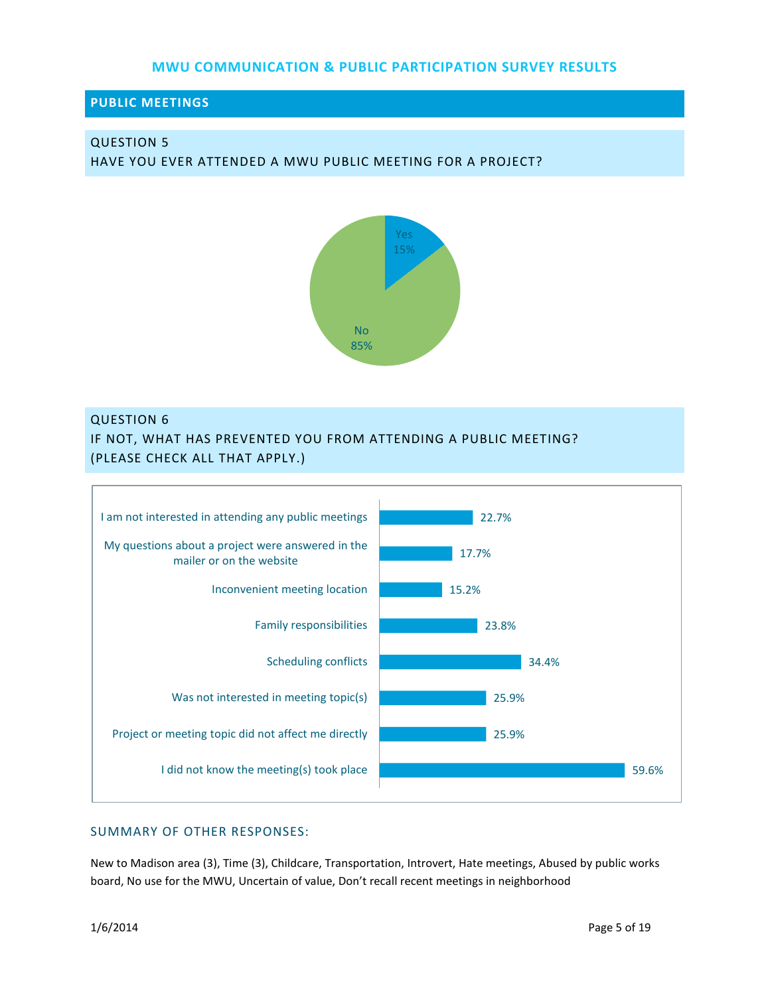### **PUBLIC MEETINGS**

# QUESTION 5

HAVE YOU EVER ATTENDED A MWU PUBLIC MEETING FOR A PROJECT?



#### QUESTION 6

IF NOT, WHAT HAS PREVENTED YOU FROM ATTENDING A PUBLIC MEETING? (PLEASE CHECK ALL THAT APPLY.)



### SUMMARY OF OTHER RESPONSES:

New to Madison area (3), Time (3), Childcare, Transportation, Introvert, Hate meetings, Abused by public works board, No use for the MWU, Uncertain of value, Don't recall recent meetings in neighborhood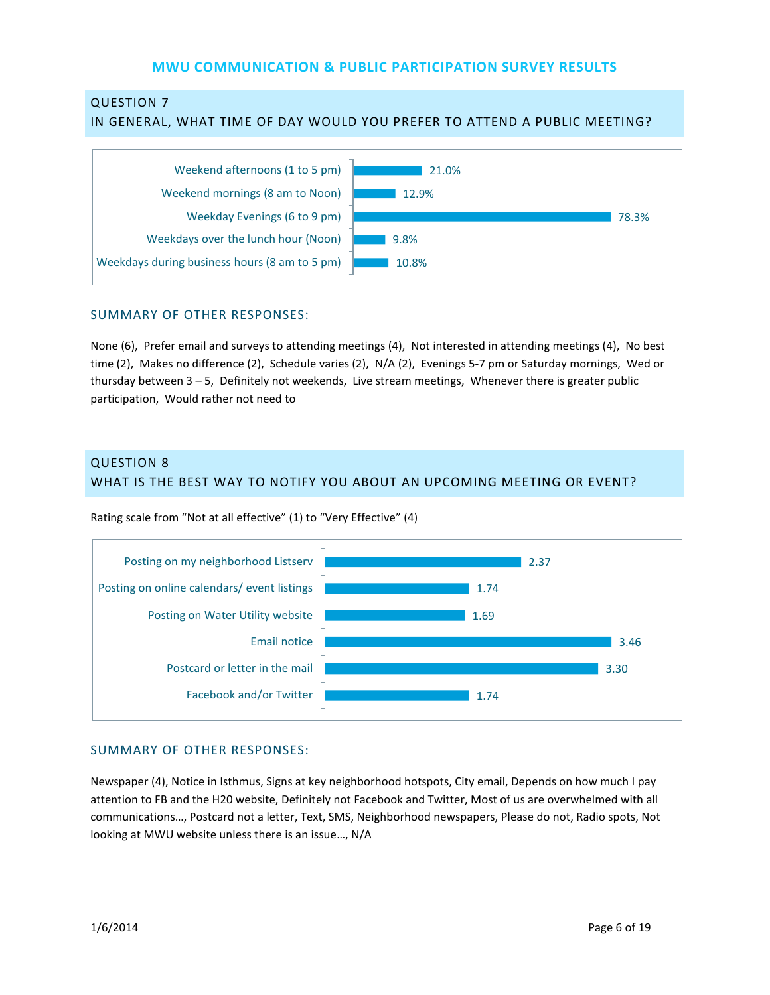# QUESTION 7

#### IN GENERAL, WHAT TIME OF DAY WOULD YOU PREFER TO ATTEND A PUBLIC MEETING?



#### SUMMARY OF OTHER RESPONSES:

None (6), Prefer email and surveys to attending meetings (4), Not interested in attending meetings (4), No best time (2), Makes no difference (2), Schedule varies (2), N/A (2), Evenings 5-7 pm or Saturday mornings, Wed or thursday between 3 – 5, Definitely not weekends, Live stream meetings, Whenever there is greater public participation, Would rather not need to

# QUESTION 8 WHAT IS THE BEST WAY TO NOTIFY YOU ABOUT AN UPCOMING MEETING OR EVENT?



Rating scale from "Not at all effective" (1) to "Very Effective" (4)

#### SUMMARY OF OTHER RESPONSES:

Newspaper (4), Notice in Isthmus, Signs at key neighborhood hotspots, City email, Depends on how much I pay attention to FB and the H20 website, Definitely not Facebook and Twitter, Most of us are overwhelmed with all communications…, Postcard not a letter, Text, SMS, Neighborhood newspapers, Please do not, Radio spots, Not looking at MWU website unless there is an issue…, N/A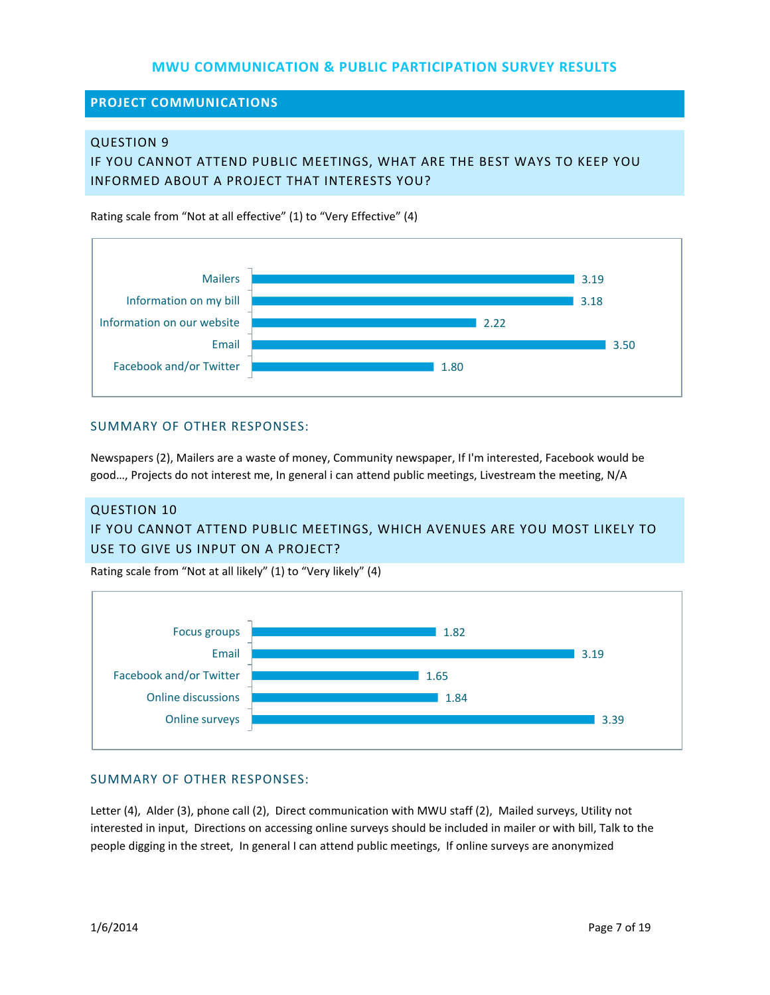**PROJECT COMMUNICATIONS**

#### QUESTION 9

IF YOU CANNOT ATTEND PUBLIC MEETINGS, WHAT ARE THE BEST WAYS TO KEEP YOU INFORMED ABOUT A PROJECT THAT INTERESTS YOU?

Rating scale from "Not at all effective" (1) to "Very Effective" (4)



#### SUMMARY OF OTHER RESPONSES:

Newspapers (2), Mailers are a waste of money, Community newspaper, If I'm interested, Facebook would be good…, Projects do not interest me, In general i can attend public meetings, Livestream the meeting, N/A

# QUESTION 10 IF YOU CANNOT ATTEND PUBLIC MEETINGS, WHICH AVENUES ARE YOU MOST LIKELY TO USE TO GIVE US INPUT ON A PROJECT?

Rating scale from "Not at all likely" (1) to "Very likely" (4)



#### SUMMARY OF OTHER RESPONSES:

Letter (4), Alder (3), phone call (2), Direct communication with MWU staff (2), Mailed surveys, Utility not interested in input, Directions on accessing online surveys should be included in mailer or with bill, Talk to the people digging in the street, In general I can attend public meetings, If online surveys are anonymized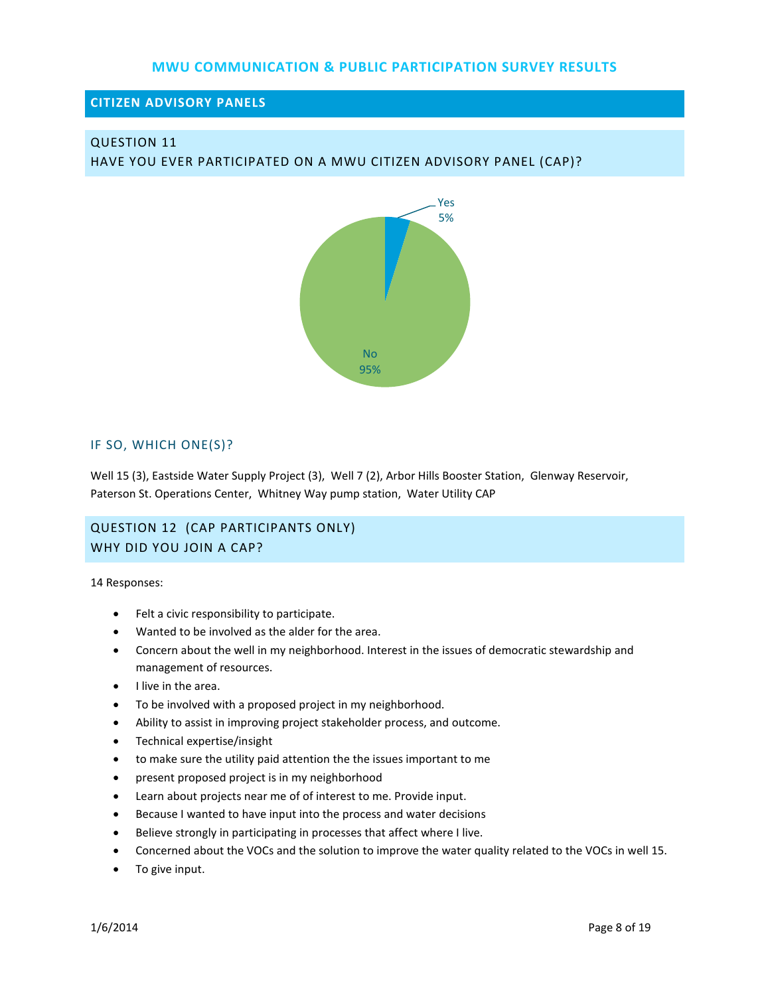### **CITIZEN ADVISORY PANELS**

# QUESTION 11

HAVE YOU EVER PARTICIPATED ON A MWU CITIZEN ADVISORY PANEL (CAP)?



#### IF SO, WHICH ONE(S)?

Well 15 (3), Eastside Water Supply Project (3), Well 7 (2), Arbor Hills Booster Station, Glenway Reservoir, Paterson St. Operations Center, Whitney Way pump station, Water Utility CAP

# QUESTION 12 (CAP PARTICIPANTS ONLY) WHY DID YOU JOIN A CAP?

14 Responses:

- Felt a civic responsibility to participate.
- Wanted to be involved as the alder for the area.
- Concern about the well in my neighborhood. Interest in the issues of democratic stewardship and management of resources.
- I live in the area.
- To be involved with a proposed project in my neighborhood.
- Ability to assist in improving project stakeholder process, and outcome.
- Technical expertise/insight
- to make sure the utility paid attention the the issues important to me
- present proposed project is in my neighborhood
- Learn about projects near me of of interest to me. Provide input.
- Because I wanted to have input into the process and water decisions
- Believe strongly in participating in processes that affect where I live.
- Concerned about the VOCs and the solution to improve the water quality related to the VOCs in well 15.
- To give input.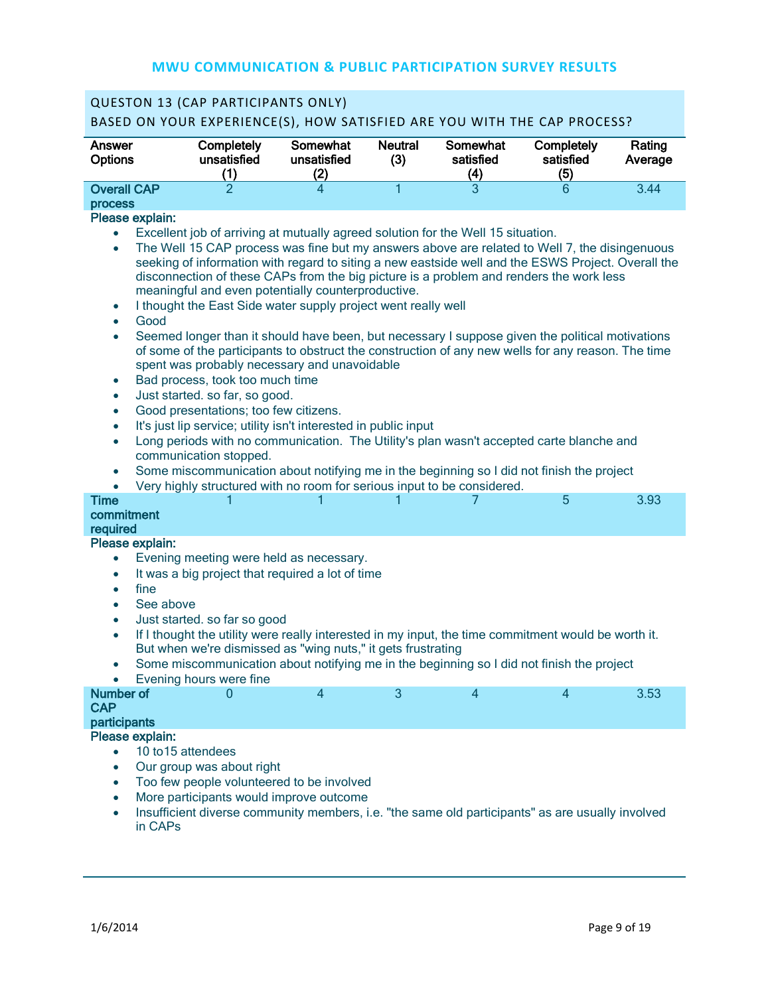| <b>QUESTON 13 (CAP PARTICIPANTS ONLY)</b>                                                                                                                                                                                                                                                                                                                                                                                                                                                                                                                                                                                                                                                                                                                                                                                                                                                                                                                                                                                                                                                                                                                                                                           |                                                                                                                                                                                                                                                                                                                                                                                 |                                |                       |                                            |                                |                   |  |  |  |
|---------------------------------------------------------------------------------------------------------------------------------------------------------------------------------------------------------------------------------------------------------------------------------------------------------------------------------------------------------------------------------------------------------------------------------------------------------------------------------------------------------------------------------------------------------------------------------------------------------------------------------------------------------------------------------------------------------------------------------------------------------------------------------------------------------------------------------------------------------------------------------------------------------------------------------------------------------------------------------------------------------------------------------------------------------------------------------------------------------------------------------------------------------------------------------------------------------------------|---------------------------------------------------------------------------------------------------------------------------------------------------------------------------------------------------------------------------------------------------------------------------------------------------------------------------------------------------------------------------------|--------------------------------|-----------------------|--------------------------------------------|--------------------------------|-------------------|--|--|--|
| BASED ON YOUR EXPERIENCE(S), HOW SATISFIED ARE YOU WITH THE CAP PROCESS?                                                                                                                                                                                                                                                                                                                                                                                                                                                                                                                                                                                                                                                                                                                                                                                                                                                                                                                                                                                                                                                                                                                                            |                                                                                                                                                                                                                                                                                                                                                                                 |                                |                       |                                            |                                |                   |  |  |  |
| Answer<br><b>Options</b>                                                                                                                                                                                                                                                                                                                                                                                                                                                                                                                                                                                                                                                                                                                                                                                                                                                                                                                                                                                                                                                                                                                                                                                            | Completely<br>unsatisfied<br>(1)                                                                                                                                                                                                                                                                                                                                                | Somewhat<br>unsatisfied<br>(2) | <b>Neutral</b><br>(3) | Somewhat<br>satisfied<br>$\left( 4\right)$ | Completely<br>satisfied<br>(5) | Rating<br>Average |  |  |  |
| <b>Overall CAP</b>                                                                                                                                                                                                                                                                                                                                                                                                                                                                                                                                                                                                                                                                                                                                                                                                                                                                                                                                                                                                                                                                                                                                                                                                  | $\overline{2}$                                                                                                                                                                                                                                                                                                                                                                  | 4                              | 1                     | 3                                          | 6                              | 3.44              |  |  |  |
| <b>process</b>                                                                                                                                                                                                                                                                                                                                                                                                                                                                                                                                                                                                                                                                                                                                                                                                                                                                                                                                                                                                                                                                                                                                                                                                      |                                                                                                                                                                                                                                                                                                                                                                                 |                                |                       |                                            |                                |                   |  |  |  |
| Please explain:                                                                                                                                                                                                                                                                                                                                                                                                                                                                                                                                                                                                                                                                                                                                                                                                                                                                                                                                                                                                                                                                                                                                                                                                     |                                                                                                                                                                                                                                                                                                                                                                                 |                                |                       |                                            |                                |                   |  |  |  |
| Excellent job of arriving at mutually agreed solution for the Well 15 situation.<br>$\bullet$<br>The Well 15 CAP process was fine but my answers above are related to Well 7, the disingenuous<br>$\bullet$<br>seeking of information with regard to siting a new eastside well and the ESWS Project. Overall the<br>disconnection of these CAPs from the big picture is a problem and renders the work less<br>meaningful and even potentially counterproductive.<br>I thought the East Side water supply project went really well<br>$\bullet$<br>Good<br>$\bullet$<br>Seemed longer than it should have been, but necessary I suppose given the political motivations<br>$\bullet$<br>of some of the participants to obstruct the construction of any new wells for any reason. The time<br>spent was probably necessary and unavoidable<br>Bad process, took too much time<br>$\bullet$<br>Just started. so far, so good.<br>$\bullet$<br>Good presentations; too few citizens.<br>$\bullet$<br>It's just lip service; utility isn't interested in public input<br>$\bullet$<br>Long periods with no communication. The Utility's plan wasn't accepted carte blanche and<br>$\bullet$<br>communication stopped. |                                                                                                                                                                                                                                                                                                                                                                                 |                                |                       |                                            |                                |                   |  |  |  |
| $\bullet$<br>$\bullet$                                                                                                                                                                                                                                                                                                                                                                                                                                                                                                                                                                                                                                                                                                                                                                                                                                                                                                                                                                                                                                                                                                                                                                                              | Some miscommunication about notifying me in the beginning so I did not finish the project<br>Very highly structured with no room for serious input to be considered.                                                                                                                                                                                                            |                                |                       |                                            |                                |                   |  |  |  |
| <b>Time</b>                                                                                                                                                                                                                                                                                                                                                                                                                                                                                                                                                                                                                                                                                                                                                                                                                                                                                                                                                                                                                                                                                                                                                                                                         |                                                                                                                                                                                                                                                                                                                                                                                 |                                |                       | 7                                          | 5                              | 3.93              |  |  |  |
| commitment                                                                                                                                                                                                                                                                                                                                                                                                                                                                                                                                                                                                                                                                                                                                                                                                                                                                                                                                                                                                                                                                                                                                                                                                          |                                                                                                                                                                                                                                                                                                                                                                                 |                                |                       |                                            |                                |                   |  |  |  |
| required<br>Please explain:                                                                                                                                                                                                                                                                                                                                                                                                                                                                                                                                                                                                                                                                                                                                                                                                                                                                                                                                                                                                                                                                                                                                                                                         |                                                                                                                                                                                                                                                                                                                                                                                 |                                |                       |                                            |                                |                   |  |  |  |
|                                                                                                                                                                                                                                                                                                                                                                                                                                                                                                                                                                                                                                                                                                                                                                                                                                                                                                                                                                                                                                                                                                                                                                                                                     | Evening meeting were held as necessary.                                                                                                                                                                                                                                                                                                                                         |                                |                       |                                            |                                |                   |  |  |  |
| $\bullet$<br>fine<br>$\bullet$<br>See above<br>$\bullet$<br>$\bullet$<br>$\bullet$                                                                                                                                                                                                                                                                                                                                                                                                                                                                                                                                                                                                                                                                                                                                                                                                                                                                                                                                                                                                                                                                                                                                  | It was a big project that required a lot of time<br>Just started. so far so good<br>If I thought the utility were really interested in my input, the time commitment would be worth it.<br>But when we're dismissed as "wing nuts," it gets frustrating<br>Some miscommunication about notifying me in the beginning so I did not finish the project<br>Evening hours were fine |                                |                       |                                            |                                |                   |  |  |  |
| <b>Number of</b>                                                                                                                                                                                                                                                                                                                                                                                                                                                                                                                                                                                                                                                                                                                                                                                                                                                                                                                                                                                                                                                                                                                                                                                                    | 0                                                                                                                                                                                                                                                                                                                                                                               | $\overline{4}$                 | 3                     | $\overline{4}$                             | 4                              | 3.53              |  |  |  |
| <b>CAP</b><br>participants                                                                                                                                                                                                                                                                                                                                                                                                                                                                                                                                                                                                                                                                                                                                                                                                                                                                                                                                                                                                                                                                                                                                                                                          |                                                                                                                                                                                                                                                                                                                                                                                 |                                |                       |                                            |                                |                   |  |  |  |
| Please explain:                                                                                                                                                                                                                                                                                                                                                                                                                                                                                                                                                                                                                                                                                                                                                                                                                                                                                                                                                                                                                                                                                                                                                                                                     |                                                                                                                                                                                                                                                                                                                                                                                 |                                |                       |                                            |                                |                   |  |  |  |
| $\bullet$                                                                                                                                                                                                                                                                                                                                                                                                                                                                                                                                                                                                                                                                                                                                                                                                                                                                                                                                                                                                                                                                                                                                                                                                           | 10 to 15 attendees                                                                                                                                                                                                                                                                                                                                                              |                                |                       |                                            |                                |                   |  |  |  |
| $\bullet$                                                                                                                                                                                                                                                                                                                                                                                                                                                                                                                                                                                                                                                                                                                                                                                                                                                                                                                                                                                                                                                                                                                                                                                                           | Our group was about right                                                                                                                                                                                                                                                                                                                                                       |                                |                       |                                            |                                |                   |  |  |  |
| Too few people volunteered to be involved<br>$\bullet$<br>More participants would improve outcome<br>$\bullet$<br>Insufficient diverse community members, i.e. "the same old participants" as are usually involved                                                                                                                                                                                                                                                                                                                                                                                                                                                                                                                                                                                                                                                                                                                                                                                                                                                                                                                                                                                                  |                                                                                                                                                                                                                                                                                                                                                                                 |                                |                       |                                            |                                |                   |  |  |  |
| in CAPs                                                                                                                                                                                                                                                                                                                                                                                                                                                                                                                                                                                                                                                                                                                                                                                                                                                                                                                                                                                                                                                                                                                                                                                                             |                                                                                                                                                                                                                                                                                                                                                                                 |                                |                       |                                            |                                |                   |  |  |  |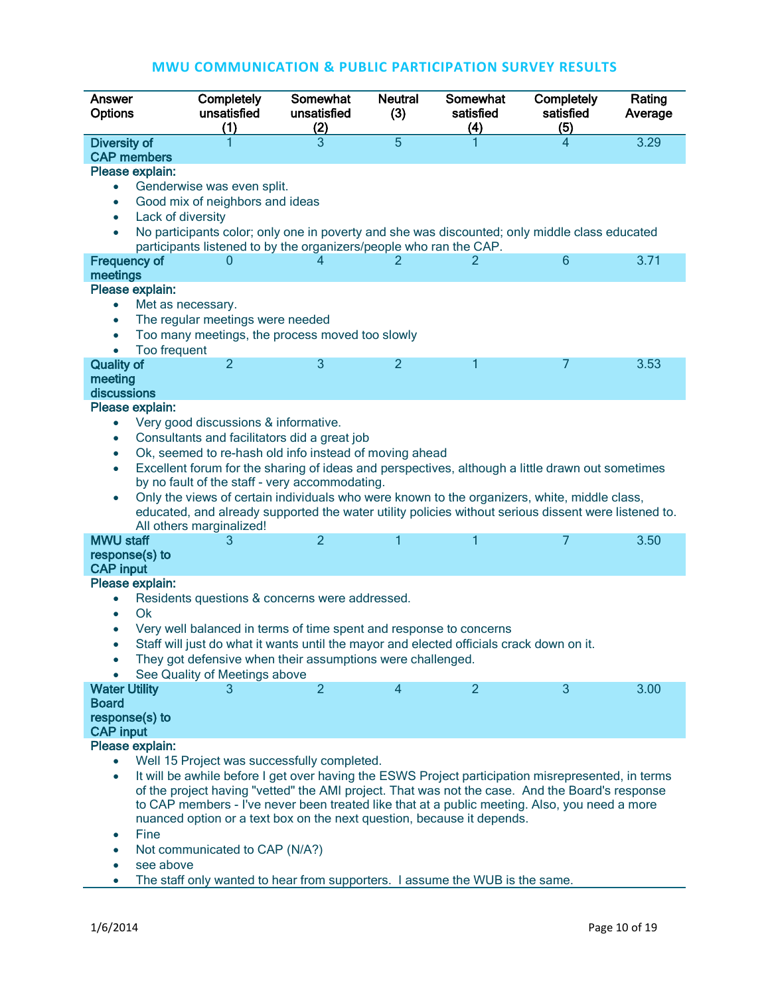| Answer<br><b>Options</b>                                                                                                                                                                                                                                                                                                                                                                                                                                                                                                                                                                                                     | Completely<br>unsatisfied<br>(1)                                                                                                                                                                                                                                                                                                                                                                                                | <b>Somewhat</b><br>unsatisfied<br>(2) | <b>Neutral</b><br>(3) | Somewhat<br>satisfied<br>(4) | Completely<br>satisfied<br>(5) | Rating<br>Average |  |  |  |
|------------------------------------------------------------------------------------------------------------------------------------------------------------------------------------------------------------------------------------------------------------------------------------------------------------------------------------------------------------------------------------------------------------------------------------------------------------------------------------------------------------------------------------------------------------------------------------------------------------------------------|---------------------------------------------------------------------------------------------------------------------------------------------------------------------------------------------------------------------------------------------------------------------------------------------------------------------------------------------------------------------------------------------------------------------------------|---------------------------------------|-----------------------|------------------------------|--------------------------------|-------------------|--|--|--|
| <b>Diversity of</b><br><b>CAP members</b><br>Please explain:<br>$\bullet$                                                                                                                                                                                                                                                                                                                                                                                                                                                                                                                                                    | Genderwise was even split.                                                                                                                                                                                                                                                                                                                                                                                                      | 3                                     | $\overline{5}$        |                              | 4                              | 3.29              |  |  |  |
| Good mix of neighbors and ideas<br>$\bullet$<br>Lack of diversity<br>$\bullet$<br>No participants color; only one in poverty and she was discounted; only middle class educated<br>$\bullet$<br>participants listened to by the organizers/people who ran the CAP.                                                                                                                                                                                                                                                                                                                                                           |                                                                                                                                                                                                                                                                                                                                                                                                                                 |                                       |                       |                              |                                |                   |  |  |  |
| <b>Frequency of</b><br>meetings                                                                                                                                                                                                                                                                                                                                                                                                                                                                                                                                                                                              | O                                                                                                                                                                                                                                                                                                                                                                                                                               | 4                                     |                       | 2                            | 6                              | 3.71              |  |  |  |
| Please explain:<br>Met as necessary.<br>$\bullet$<br>The regular meetings were needed<br>Too many meetings, the process moved too slowly<br>Too frequent<br>$\bullet$                                                                                                                                                                                                                                                                                                                                                                                                                                                        |                                                                                                                                                                                                                                                                                                                                                                                                                                 |                                       |                       |                              |                                |                   |  |  |  |
| <b>Quality of</b><br>meeting<br>discussions                                                                                                                                                                                                                                                                                                                                                                                                                                                                                                                                                                                  | $\overline{2}$                                                                                                                                                                                                                                                                                                                                                                                                                  | 3                                     | $\overline{2}$        | 1                            | 7                              | 3.53              |  |  |  |
| Please explain:<br>Very good discussions & informative.<br>$\bullet$<br>Consultants and facilitators did a great job<br>$\bullet$<br>Ok, seemed to re-hash old info instead of moving ahead<br>$\bullet$<br>Excellent forum for the sharing of ideas and perspectives, although a little drawn out sometimes<br>$\bullet$<br>by no fault of the staff - very accommodating.<br>Only the views of certain individuals who were known to the organizers, white, middle class,<br>$\bullet$<br>educated, and already supported the water utility policies without serious dissent were listened to.<br>All others marginalized! |                                                                                                                                                                                                                                                                                                                                                                                                                                 |                                       |                       |                              |                                |                   |  |  |  |
| <b>MWU staff</b><br>response(s) to<br><b>CAP input</b>                                                                                                                                                                                                                                                                                                                                                                                                                                                                                                                                                                       | 3                                                                                                                                                                                                                                                                                                                                                                                                                               | $\overline{2}$                        | 1                     | 1                            | 7                              | 3.50              |  |  |  |
| Please explain:<br>Residents questions & concerns were addressed.<br>$\bullet$<br>Ok<br>$\bullet$<br>Very well balanced in terms of time spent and response to concerns<br>Staff will just do what it wants until the mayor and elected officials crack down on it.<br>They got defensive when their assumptions were challenged.<br>See Quality of Meetings above                                                                                                                                                                                                                                                           |                                                                                                                                                                                                                                                                                                                                                                                                                                 |                                       |                       |                              |                                |                   |  |  |  |
| <b>Water Utility</b><br><b>Board</b><br>response(s) to<br><b>CAP input</b>                                                                                                                                                                                                                                                                                                                                                                                                                                                                                                                                                   | 3                                                                                                                                                                                                                                                                                                                                                                                                                               | $\overline{2}$                        | $\overline{4}$        | $\overline{2}$               | 3                              | 3.00              |  |  |  |
| Please explain:<br>$\bullet$<br>$\bullet$<br>Fine                                                                                                                                                                                                                                                                                                                                                                                                                                                                                                                                                                            | Well 15 Project was successfully completed.<br>It will be awhile before I get over having the ESWS Project participation misrepresented, in terms<br>of the project having "vetted" the AMI project. That was not the case. And the Board's response<br>to CAP members - I've never been treated like that at a public meeting. Also, you need a more<br>nuanced option or a text box on the next question, because it depends. |                                       |                       |                              |                                |                   |  |  |  |

- Not communicated to CAP (N/A?)
- see above
- The staff only wanted to hear from supporters. I assume the WUB is the same.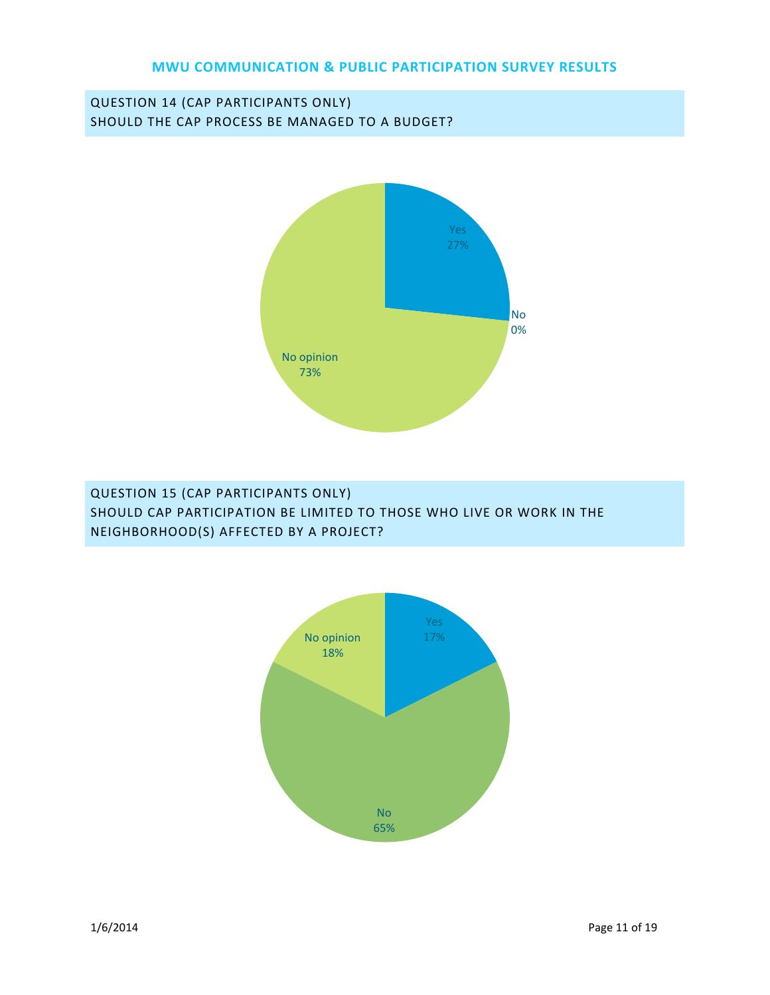# QUESTION 14 (CAP PARTICIPANTS ONLY) SHOULD THE CAP PROCESS BE MANAGED TO A BUDGET?



# QUESTION 15 (CAP PARTICIPANTS ONLY) SHOULD CAP PARTICIPATION BE LIMITED TO THOSE WHO LIVE OR WORK IN THE NEIGHBORHOOD(S) AFFECTED BY A PROJECT?

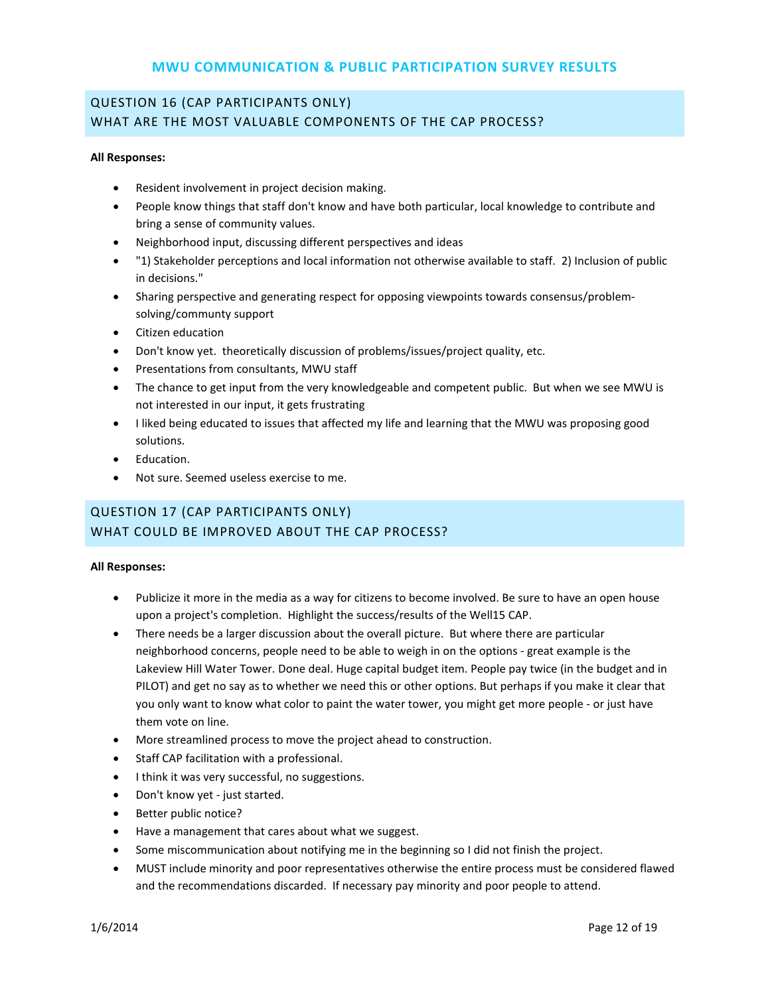# QUESTION 16 (CAP PARTICIPANTS ONLY) WHAT ARE THE MOST VALUABLE COMPONENTS OF THE CAP PROCESS?

#### **All Responses:**

- Resident involvement in project decision making.
- People know things that staff don't know and have both particular, local knowledge to contribute and bring a sense of community values.
- Neighborhood input, discussing different perspectives and ideas
- "1) Stakeholder perceptions and local information not otherwise available to staff. 2) Inclusion of public in decisions."
- Sharing perspective and generating respect for opposing viewpoints towards consensus/problemsolving/communty support
- Citizen education
- Don't know yet. theoretically discussion of problems/issues/project quality, etc.
- Presentations from consultants, MWU staff
- The chance to get input from the very knowledgeable and competent public. But when we see MWU is not interested in our input, it gets frustrating
- I liked being educated to issues that affected my life and learning that the MWU was proposing good solutions.
- Education.
- Not sure. Seemed useless exercise to me.

# QUESTION 17 (CAP PARTICIPANTS ONLY) WHAT COULD BE IMPROVED ABOUT THE CAP PROCESS?

#### **All Responses:**

- Publicize it more in the media as a way for citizens to become involved. Be sure to have an open house upon a project's completion. Highlight the success/results of the Well15 CAP.
- There needs be a larger discussion about the overall picture. But where there are particular neighborhood concerns, people need to be able to weigh in on the options - great example is the Lakeview Hill Water Tower. Done deal. Huge capital budget item. People pay twice (in the budget and in PILOT) and get no say as to whether we need this or other options. But perhaps if you make it clear that you only want to know what color to paint the water tower, you might get more people - or just have them vote on line.
- More streamlined process to move the project ahead to construction.
- Staff CAP facilitation with a professional.
- I think it was very successful, no suggestions.
- Don't know yet just started.
- Better public notice?
- Have a management that cares about what we suggest.
- Some miscommunication about notifying me in the beginning so I did not finish the project.
- MUST include minority and poor representatives otherwise the entire process must be considered flawed and the recommendations discarded. If necessary pay minority and poor people to attend.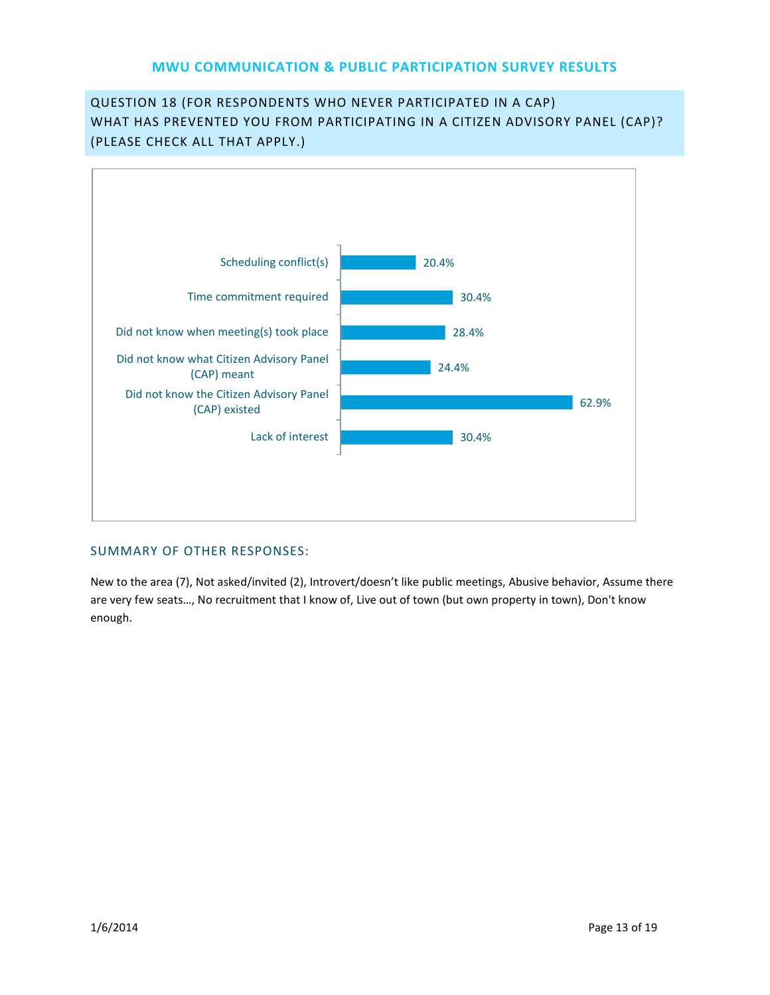# QUESTION 18 (FOR RESPONDENTS WHO NEVER PARTICIPATED IN A CAP) WHAT HAS PREVENTED YOU FROM PARTICIPATING IN A CITIZEN ADVISORY PANEL (CAP)? (PLEASE CHECK ALL THAT APPLY.)



### SUMMARY OF OTHER RESPONSES:

New to the area (7), Not asked/invited (2), Introvert/doesn't like public meetings, Abusive behavior, Assume there are very few seats…, No recruitment that I know of, Live out of town (but own property in town), Don't know enough.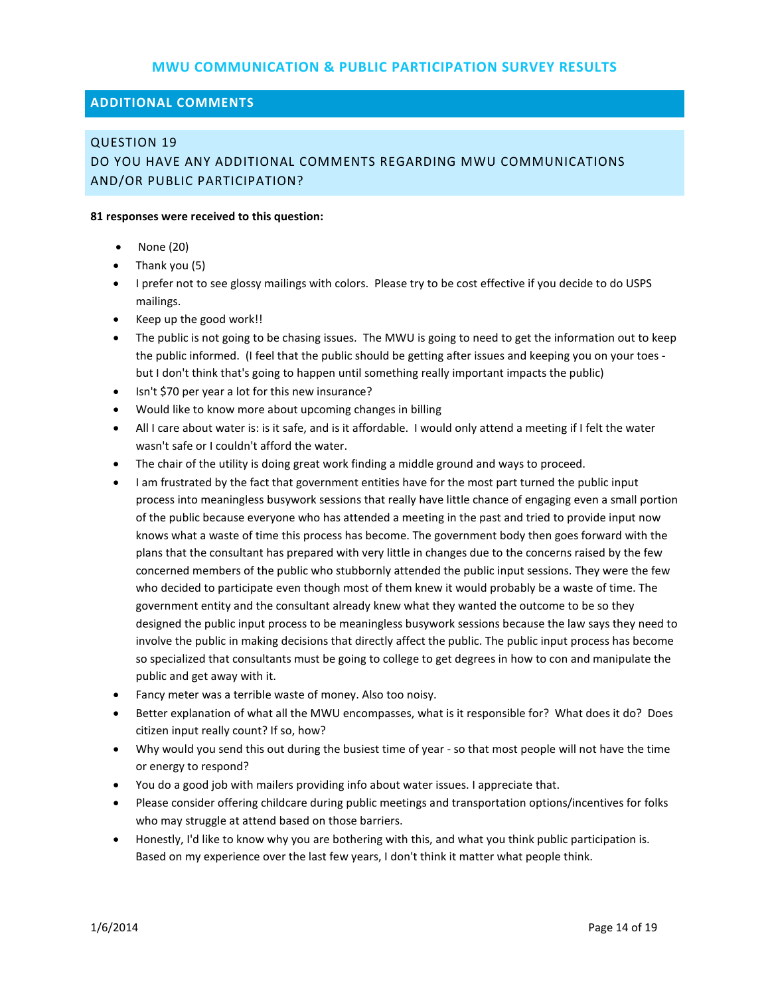#### **ADDITIONAL COMMENTS**

#### QUESTION 19

# DO YOU HAVE ANY ADDITIONAL COMMENTS REGARDING MWU COMMUNICATIONS AND/OR PUBLIC PARTICIPATION?

#### **81 responses were received to this question:**

- None (20)
- Thank you (5)
- I prefer not to see glossy mailings with colors. Please try to be cost effective if you decide to do USPS mailings.
- Keep up the good work!!
- The public is not going to be chasing issues. The MWU is going to need to get the information out to keep the public informed. (I feel that the public should be getting after issues and keeping you on your toes but I don't think that's going to happen until something really important impacts the public)
- Isn't \$70 per year a lot for this new insurance?
- Would like to know more about upcoming changes in billing
- All I care about water is: is it safe, and is it affordable. I would only attend a meeting if I felt the water wasn't safe or I couldn't afford the water.
- The chair of the utility is doing great work finding a middle ground and ways to proceed.
- I am frustrated by the fact that government entities have for the most part turned the public input process into meaningless busywork sessions that really have little chance of engaging even a small portion of the public because everyone who has attended a meeting in the past and tried to provide input now knows what a waste of time this process has become. The government body then goes forward with the plans that the consultant has prepared with very little in changes due to the concerns raised by the few concerned members of the public who stubbornly attended the public input sessions. They were the few who decided to participate even though most of them knew it would probably be a waste of time. The government entity and the consultant already knew what they wanted the outcome to be so they designed the public input process to be meaningless busywork sessions because the law says they need to involve the public in making decisions that directly affect the public. The public input process has become so specialized that consultants must be going to college to get degrees in how to con and manipulate the public and get away with it.
- Fancy meter was a terrible waste of money. Also too noisy.
- Better explanation of what all the MWU encompasses, what is it responsible for? What does it do? Does citizen input really count? If so, how?
- Why would you send this out during the busiest time of year so that most people will not have the time or energy to respond?
- You do a good job with mailers providing info about water issues. I appreciate that.
- Please consider offering childcare during public meetings and transportation options/incentives for folks who may struggle at attend based on those barriers.
- Honestly, I'd like to know why you are bothering with this, and what you think public participation is. Based on my experience over the last few years, I don't think it matter what people think.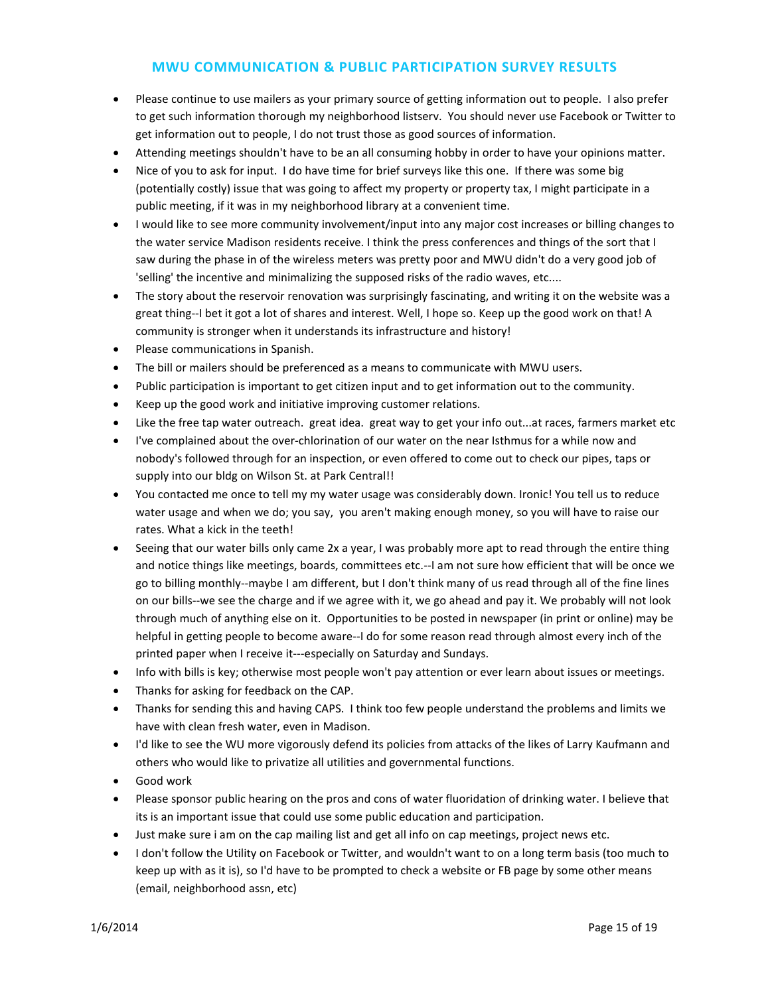- Please continue to use mailers as your primary source of getting information out to people. I also prefer to get such information thorough my neighborhood listserv. You should never use Facebook or Twitter to get information out to people, I do not trust those as good sources of information.
- Attending meetings shouldn't have to be an all consuming hobby in order to have your opinions matter.
- Nice of you to ask for input. I do have time for brief surveys like this one. If there was some big (potentially costly) issue that was going to affect my property or property tax, I might participate in a public meeting, if it was in my neighborhood library at a convenient time.
- I would like to see more community involvement/input into any major cost increases or billing changes to the water service Madison residents receive. I think the press conferences and things of the sort that I saw during the phase in of the wireless meters was pretty poor and MWU didn't do a very good job of 'selling' the incentive and minimalizing the supposed risks of the radio waves, etc....
- The story about the reservoir renovation was surprisingly fascinating, and writing it on the website was a great thing--I bet it got a lot of shares and interest. Well, I hope so. Keep up the good work on that! A community is stronger when it understands its infrastructure and history!
- Please communications in Spanish.
- The bill or mailers should be preferenced as a means to communicate with MWU users.
- Public participation is important to get citizen input and to get information out to the community.
- Keep up the good work and initiative improving customer relations.
- Like the free tap water outreach. great idea. great way to get your info out...at races, farmers market etc
- I've complained about the over-chlorination of our water on the near Isthmus for a while now and nobody's followed through for an inspection, or even offered to come out to check our pipes, taps or supply into our bldg on Wilson St. at Park Central!!
- You contacted me once to tell my my water usage was considerably down. Ironic! You tell us to reduce water usage and when we do; you say, you aren't making enough money, so you will have to raise our rates. What a kick in the teeth!
- Seeing that our water bills only came 2x a year, I was probably more apt to read through the entire thing and notice things like meetings, boards, committees etc.--I am not sure how efficient that will be once we go to billing monthly--maybe I am different, but I don't think many of us read through all of the fine lines on our bills--we see the charge and if we agree with it, we go ahead and pay it. We probably will not look through much of anything else on it. Opportunities to be posted in newspaper (in print or online) may be helpful in getting people to become aware--I do for some reason read through almost every inch of the printed paper when I receive it---especially on Saturday and Sundays.
- Info with bills is key; otherwise most people won't pay attention or ever learn about issues or meetings.
- Thanks for asking for feedback on the CAP.
- Thanks for sending this and having CAPS. I think too few people understand the problems and limits we have with clean fresh water, even in Madison.
- I'd like to see the WU more vigorously defend its policies from attacks of the likes of Larry Kaufmann and others who would like to privatize all utilities and governmental functions.
- Good work
- Please sponsor public hearing on the pros and cons of water fluoridation of drinking water. I believe that its is an important issue that could use some public education and participation.
- Just make sure i am on the cap mailing list and get all info on cap meetings, project news etc.
- I don't follow the Utility on Facebook or Twitter, and wouldn't want to on a long term basis (too much to keep up with as it is), so I'd have to be prompted to check a website or FB page by some other means (email, neighborhood assn, etc)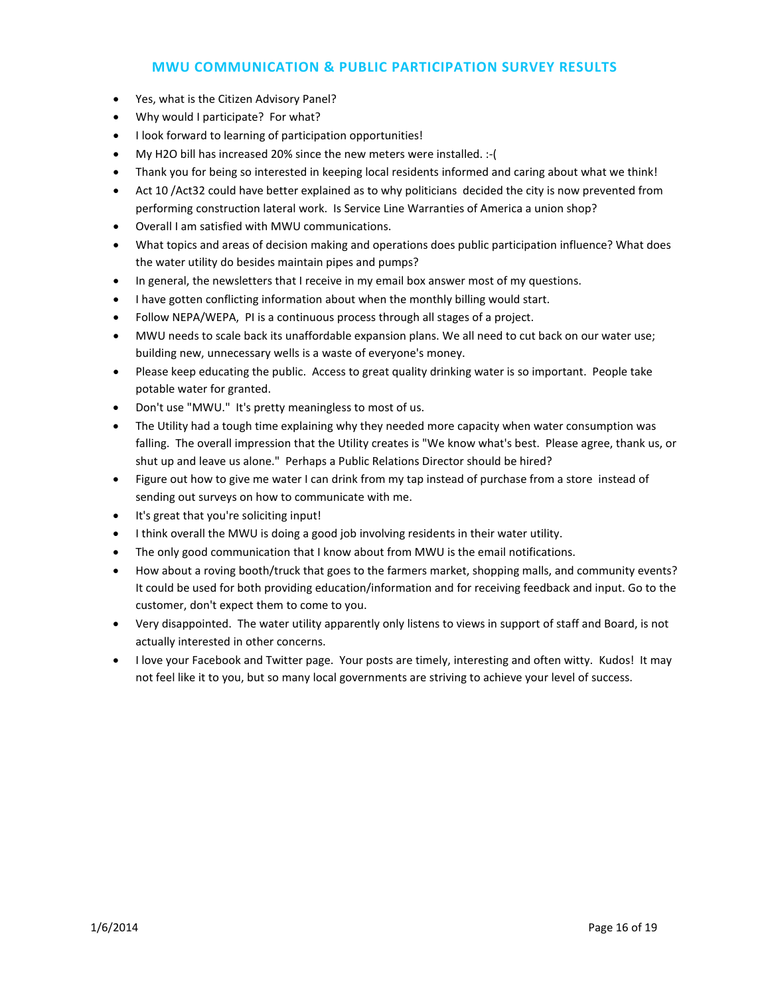- Yes, what is the Citizen Advisory Panel?
- Why would I participate? For what?
- I look forward to learning of participation opportunities!
- My H2O bill has increased 20% since the new meters were installed. :-(
- Thank you for being so interested in keeping local residents informed and caring about what we think!
- Act 10 /Act32 could have better explained as to why politicians decided the city is now prevented from performing construction lateral work. Is Service Line Warranties of America a union shop?
- Overall I am satisfied with MWU communications.
- What topics and areas of decision making and operations does public participation influence? What does the water utility do besides maintain pipes and pumps?
- In general, the newsletters that I receive in my email box answer most of my questions.
- I have gotten conflicting information about when the monthly billing would start.
- Follow NEPA/WEPA, PI is a continuous process through all stages of a project.
- MWU needs to scale back its unaffordable expansion plans. We all need to cut back on our water use; building new, unnecessary wells is a waste of everyone's money.
- Please keep educating the public. Access to great quality drinking water is so important. People take potable water for granted.
- Don't use "MWU." It's pretty meaningless to most of us.
- The Utility had a tough time explaining why they needed more capacity when water consumption was falling. The overall impression that the Utility creates is "We know what's best. Please agree, thank us, or shut up and leave us alone." Perhaps a Public Relations Director should be hired?
- Figure out how to give me water I can drink from my tap instead of purchase from a store instead of sending out surveys on how to communicate with me.
- It's great that you're soliciting input!
- I think overall the MWU is doing a good job involving residents in their water utility.
- The only good communication that I know about from MWU is the email notifications.
- How about a roving booth/truck that goes to the farmers market, shopping malls, and community events? It could be used for both providing education/information and for receiving feedback and input. Go to the customer, don't expect them to come to you.
- Very disappointed. The water utility apparently only listens to views in support of staff and Board, is not actually interested in other concerns.
- I love your Facebook and Twitter page. Your posts are timely, interesting and often witty. Kudos! It may not feel like it to you, but so many local governments are striving to achieve your level of success.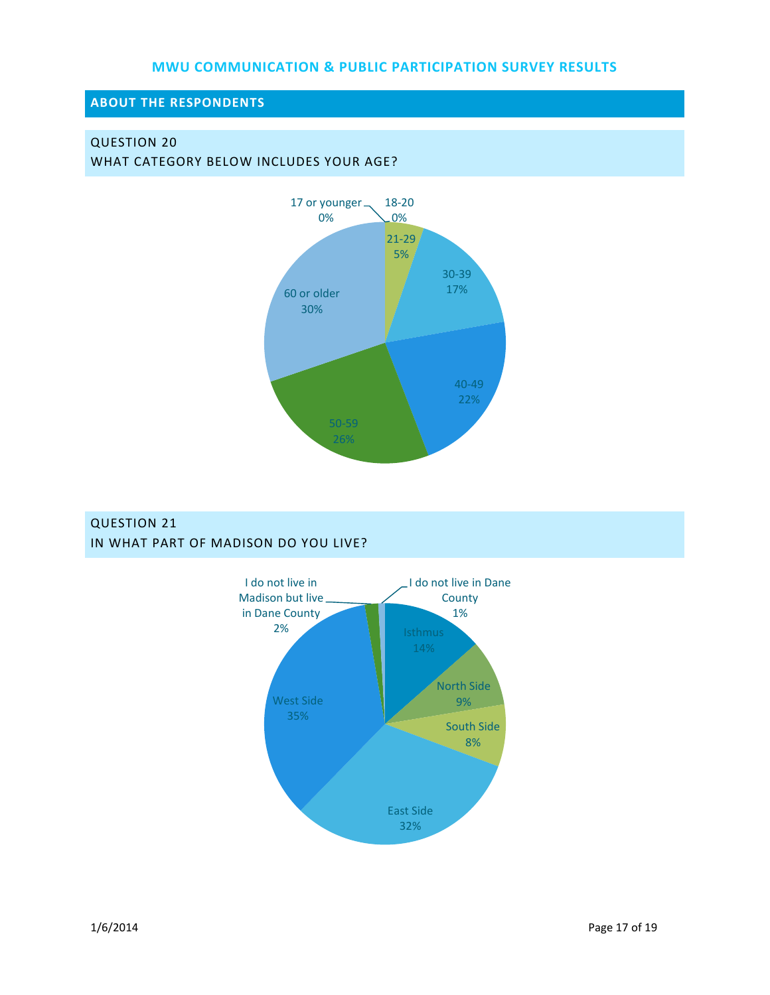## **ABOUT THE RESPONDENTS**

## QUESTION 20

WHAT CATEGORY BELOW INCLUDES YOUR AGE?



# QUESTION 21 IN WHAT PART OF MADISON DO YOU LIVE?

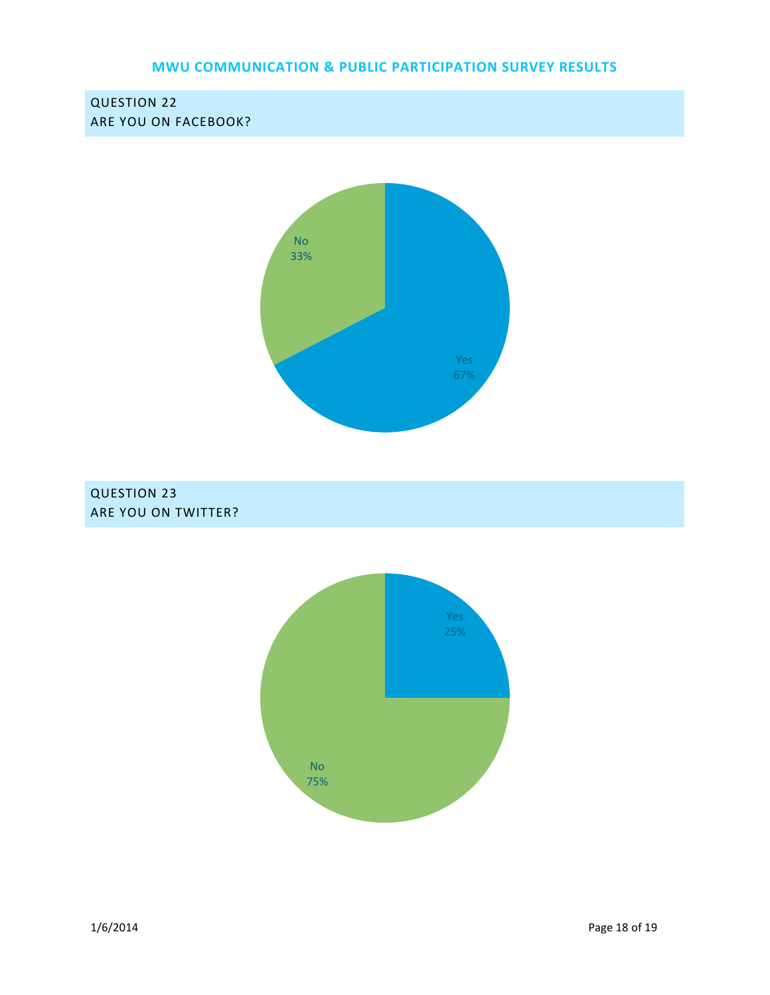

QUESTION 23 ARE YOU ON TWITTER?

QUESTION 22

ARE YOU ON FACEBOOK?